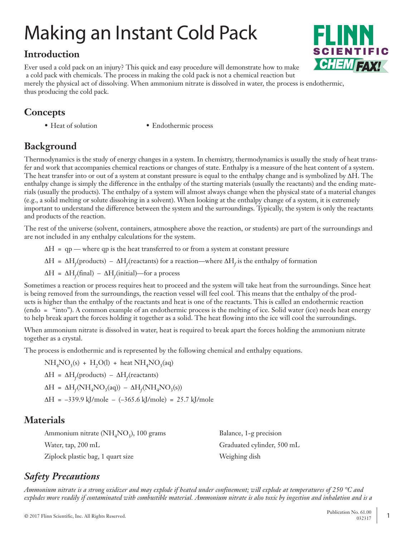# Making an Instant Cold Pack

# **Introduction**

Ever used a cold pack on an injury? This quick and easy procedure will demonstrate how to make a cold pack with chemicals. The process in making the cold pack is not a chemical reaction but merely the physical act of dissolving. When ammonium nitrate is dissolved in water, the process is endothermic, thus producing the cold pack.

# **Concepts**

- 
- Heat of solution Endothermic process

# **Background**

Thermodynamics is the study of energy changes in a system. In chemistry, thermodynamics is usually the study of heat transfer and work that accompanies chemical reactions or changes of state. Enthalpy is a measure of the heat content of a system. The heat transfer into or out of a system at constant pressure is equal to the enthalpy change and is symbolized by ∆H. The enthalpy change is simply the difference in the enthalpy of the starting materials (usually the reactants) and the ending materials (usually the products). The enthalpy of a system will almost always change when the physical state of a material changes (e.g., a solid melting or solute dissolving in a solvent). When looking at the enthalpy change of a system, it is extremely important to understand the difference between the system and the surroundings. Typically, the system is only the reactants and products of the reaction.

The rest of the universe (solvent, containers, atmosphere above the reaction, or students) are part of the surroundings and are not included in any enthalpy calculations for the system.

 ∆H = qp — where qp is the heat transferred to or from a system at constant pressure

 $\Delta H = \Delta H_f$ (products) –  $\Delta H_f$ (reactants) for a reaction—where  $\Delta H_f$  is the enthalpy of formation

 ∆H = ∆H*<sup>f</sup>* (final) – ∆H*<sup>f</sup>* (initial)—for a process

Sometimes a reaction or process requires heat to proceed and the system will take heat from the surroundings. Since heat is being removed from the surroundings, the reaction vessel will feel cool. This means that the enthalpy of the products is higher than the enthalpy of the reactants and heat is one of the reactants. This is called an endothermic reaction (endo = "into"). A common example of an endothermic process is the melting of ice. Solid water (ice) needs heat energy to help break apart the forces holding it together as a solid. The heat flowing into the ice will cool the surroundings.

When ammonium nitrate is dissolved in water, heat is required to break apart the forces holding the ammonium nitrate together as a crystal.

The process is endothermic and is represented by the following chemical and enthalpy equations.

 $NH<sub>4</sub>NO<sub>3</sub>(s) + H<sub>2</sub>OO(l) + heat NH<sub>4</sub>NO<sub>3</sub>(aq)$  $ΔH = ΔH<sub>f</sub>(products) – ΔH<sub>f</sub>(reactants)$  $\Delta H = \Delta H_f(NH_4NO_3(aq)) - \Delta H_f(NH_4NO_3(s))$  $\Delta H = -339.9 \text{ kJ/mole} - (-365.6 \text{ kJ/mole}) = 25.7 \text{ kJ/mole}$ 

# **Materials**

| Ammonium nitrate ( $NH4NO3$ ), 100 grams | Balance, 1-g precision     |
|------------------------------------------|----------------------------|
| Water, tap, 200 mL                       | Graduated cylinder, 500 mL |
| Ziplock plastic bag, 1 quart size        | Weighing dish              |

# *Safety Precautions*

*Ammonium nitrate is a strong oxidizer and may explode if heated under confinement; will explode at temperatures of 250 °C and explodes more readily if contaminated with combustible material. Ammonium nitrate is also toxic by ingestion and inhalation and is a*